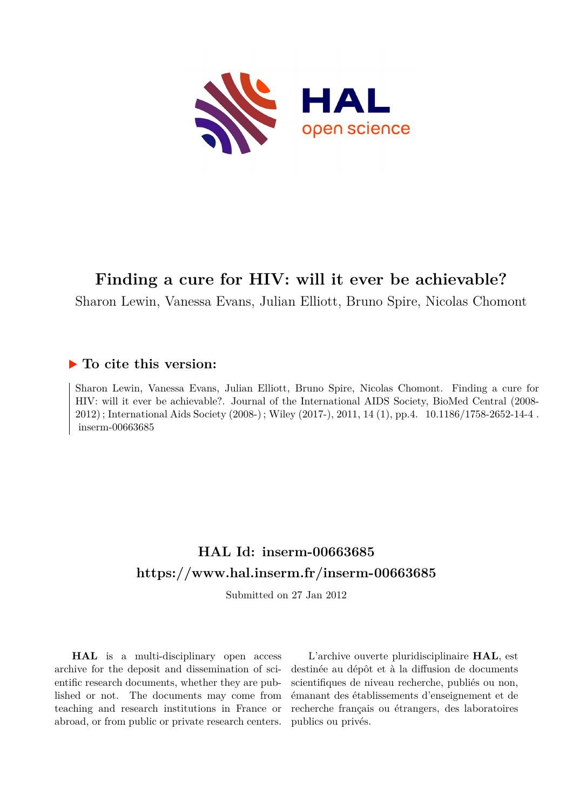

# **Finding a cure for HIV: will it ever be achievable?**

Sharon Lewin, Vanessa Evans, Julian Elliott, Bruno Spire, Nicolas Chomont

## **To cite this version:**

Sharon Lewin, Vanessa Evans, Julian Elliott, Bruno Spire, Nicolas Chomont. Finding a cure for HIV: will it ever be achievable?. Journal of the International AIDS Society, BioMed Central (2008-  $2012$ ); International Aids Society (2008-); Wiley (2017-), 2011, 14 (1), pp.4.  $10.1186/1758-2652-14-4$ .  $inserm-00663685$ 

## **HAL Id: inserm-00663685 <https://www.hal.inserm.fr/inserm-00663685>**

Submitted on 27 Jan 2012

**HAL** is a multi-disciplinary open access archive for the deposit and dissemination of scientific research documents, whether they are published or not. The documents may come from teaching and research institutions in France or abroad, or from public or private research centers.

L'archive ouverte pluridisciplinaire **HAL**, est destinée au dépôt et à la diffusion de documents scientifiques de niveau recherche, publiés ou non, émanant des établissements d'enseignement et de recherche français ou étrangers, des laboratoires publics ou privés.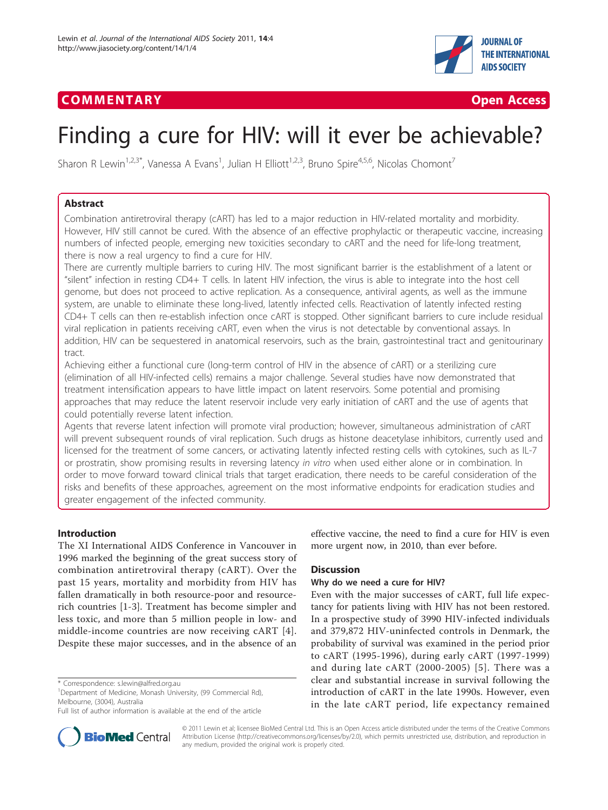### **COMMENTARY** COMMENTARY **COMMENTARY**



# Finding a cure for HIV: will it ever be achievable?

Sharon R Lewin<sup>1,2,3\*</sup>, Vanessa A Evans<sup>1</sup>, Julian H Elliott<sup>1,2,3</sup>, Bruno Spire<sup>4,5,6</sup>, Nicolas Chomont<sup>7</sup>

#### Abstract

Combination antiretroviral therapy (cART) has led to a major reduction in HIV-related mortality and morbidity. However, HIV still cannot be cured. With the absence of an effective prophylactic or therapeutic vaccine, increasing numbers of infected people, emerging new toxicities secondary to cART and the need for life-long treatment, there is now a real urgency to find a cure for HIV.

There are currently multiple barriers to curing HIV. The most significant barrier is the establishment of a latent or "silent" infection in resting CD4+ T cells. In latent HIV infection, the virus is able to integrate into the host cell genome, but does not proceed to active replication. As a consequence, antiviral agents, as well as the immune system, are unable to eliminate these long-lived, latently infected cells. Reactivation of latently infected resting CD4+ T cells can then re-establish infection once cART is stopped. Other significant barriers to cure include residual viral replication in patients receiving cART, even when the virus is not detectable by conventional assays. In addition, HIV can be sequestered in anatomical reservoirs, such as the brain, gastrointestinal tract and genitourinary tract.

Achieving either a functional cure (long-term control of HIV in the absence of cART) or a sterilizing cure (elimination of all HIV-infected cells) remains a major challenge. Several studies have now demonstrated that treatment intensification appears to have little impact on latent reservoirs. Some potential and promising approaches that may reduce the latent reservoir include very early initiation of cART and the use of agents that could potentially reverse latent infection.

Agents that reverse latent infection will promote viral production; however, simultaneous administration of cART will prevent subsequent rounds of viral replication. Such drugs as histone deacetylase inhibitors, currently used and licensed for the treatment of some cancers, or activating latently infected resting cells with cytokines, such as IL-7 or prostratin, show promising results in reversing latency in vitro when used either alone or in combination. In order to move forward toward clinical trials that target eradication, there needs to be careful consideration of the risks and benefits of these approaches, agreement on the most informative endpoints for eradication studies and greater engagement of the infected community.

#### Introduction

The XI International AIDS Conference in Vancouver in 1996 marked the beginning of the great success story of combination antiretroviral therapy (cART). Over the past 15 years, mortality and morbidity from HIV has fallen dramatically in both resource-poor and resourcerich countries [[1-3](#page-6-0)]. Treatment has become simpler and less toxic, and more than 5 million people in low- and middle-income countries are now receiving cART [[4](#page-6-0)]. Despite these major successes, and in the absence of an

Full list of author information is available at the end of the article



effective vaccine, the need to find a cure for HIV is even more urgent now, in 2010, than ever before.

#### **Discussion**

#### Why do we need a cure for HIV?

Even with the major successes of cART, full life expectancy for patients living with HIV has not been restored. In a prospective study of 3990 HIV-infected individuals and 379,872 HIV-uninfected controls in Denmark, the probability of survival was examined in the period prior to cART (1995-1996), during early cART (1997-1999) and during late cART (2000-2005) [[5\]](#page-6-0). There was a clear and substantial increase in survival following the introduction of cART in the late 1990s. However, even in the late cART period, life expectancy remained

© 2011 Lewin et al; licensee BioMed Central Ltd. This is an Open Access article distributed under the terms of the Creative Commons Attribution License [\(http://creativecommons.org/licenses/by/2.0](http://creativecommons.org/licenses/by/2.0)), which permits unrestricted use, distribution, and reproduction in any medium, provided the original work is properly cited.

<sup>\*</sup> Correspondence: [s.lewin@alfred.org.au](mailto:s.lewin@alfred.org.au)

<sup>&</sup>lt;sup>1</sup>Department of Medicine, Monash University, (99 Commercial Rd), Melbourne, (3004), Australia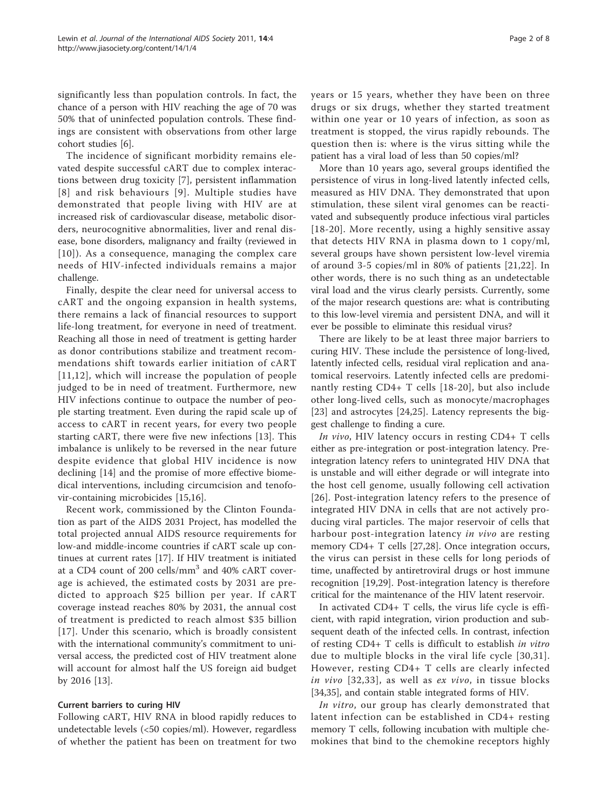significantly less than population controls. In fact, the chance of a person with HIV reaching the age of 70 was 50% that of uninfected population controls. These findings are consistent with observations from other large cohort studies [\[6\]](#page-6-0).

The incidence of significant morbidity remains elevated despite successful cART due to complex interactions between drug toxicity [[7\]](#page-6-0), persistent inflammation [[8\]](#page-6-0) and risk behaviours [[9\]](#page-6-0). Multiple studies have demonstrated that people living with HIV are at increased risk of cardiovascular disease, metabolic disorders, neurocognitive abnormalities, liver and renal disease, bone disorders, malignancy and frailty (reviewed in [[10\]](#page-6-0)). As a consequence, managing the complex care needs of HIV-infected individuals remains a major challenge.

Finally, despite the clear need for universal access to cART and the ongoing expansion in health systems, there remains a lack of financial resources to support life-long treatment, for everyone in need of treatment. Reaching all those in need of treatment is getting harder as donor contributions stabilize and treatment recommendations shift towards earlier initiation of cART [[11,12\]](#page-6-0), which will increase the population of people judged to be in need of treatment. Furthermore, new HIV infections continue to outpace the number of people starting treatment. Even during the rapid scale up of access to cART in recent years, for every two people starting cART, there were five new infections [\[13](#page-6-0)]. This imbalance is unlikely to be reversed in the near future despite evidence that global HIV incidence is now declining [[14\]](#page-6-0) and the promise of more effective biomedical interventions, including circumcision and tenofovir-containing microbicides [\[15,16\]](#page-6-0).

Recent work, commissioned by the Clinton Foundation as part of the AIDS 2031 Project, has modelled the total projected annual AIDS resource requirements for low-and middle-income countries if cART scale up continues at current rates [\[17\]](#page-6-0). If HIV treatment is initiated at a CD4 count of 200 cells/ $\text{mm}^3$  and 40% cART coverage is achieved, the estimated costs by 2031 are predicted to approach \$25 billion per year. If cART coverage instead reaches 80% by 2031, the annual cost of treatment is predicted to reach almost \$35 billion [[17](#page-6-0)]. Under this scenario, which is broadly consistent with the international community's commitment to universal access, the predicted cost of HIV treatment alone will account for almost half the US foreign aid budget by 2016 [\[13](#page-6-0)].

#### Current barriers to curing HIV

Following cART, HIV RNA in blood rapidly reduces to undetectable levels (<50 copies/ml). However, regardless of whether the patient has been on treatment for two years or 15 years, whether they have been on three drugs or six drugs, whether they started treatment within one year or 10 years of infection, as soon as treatment is stopped, the virus rapidly rebounds. The question then is: where is the virus sitting while the patient has a viral load of less than 50 copies/ml?

More than 10 years ago, several groups identified the persistence of virus in long-lived latently infected cells, measured as HIV DNA. They demonstrated that upon stimulation, these silent viral genomes can be reactivated and subsequently produce infectious viral particles [[18-20\]](#page-6-0). More recently, using a highly sensitive assay that detects HIV RNA in plasma down to 1 copy/ml, several groups have shown persistent low-level viremia of around 3-5 copies/ml in 80% of patients [[21,22](#page-6-0)]. In other words, there is no such thing as an undetectable viral load and the virus clearly persists. Currently, some of the major research questions are: what is contributing to this low-level viremia and persistent DNA, and will it ever be possible to eliminate this residual virus?

There are likely to be at least three major barriers to curing HIV. These include the persistence of long-lived, latently infected cells, residual viral replication and anatomical reservoirs. Latently infected cells are predominantly resting CD4+ T cells [\[18-20\]](#page-6-0), but also include other long-lived cells, such as monocyte/macrophages [[23](#page-6-0)] and astrocytes [[24,25](#page-6-0)]. Latency represents the biggest challenge to finding a cure.

In vivo, HIV latency occurs in resting CD4+ T cells either as pre-integration or post-integration latency. Preintegration latency refers to unintegrated HIV DNA that is unstable and will either degrade or will integrate into the host cell genome, usually following cell activation [[26](#page-6-0)]. Post-integration latency refers to the presence of integrated HIV DNA in cells that are not actively producing viral particles. The major reservoir of cells that harbour post-integration latency in vivo are resting memory CD4+ T cells [[27,28\]](#page-6-0). Once integration occurs, the virus can persist in these cells for long periods of time, unaffected by antiretroviral drugs or host immune recognition [\[19,29](#page-6-0)]. Post-integration latency is therefore critical for the maintenance of the HIV latent reservoir.

In activated CD4+ T cells, the virus life cycle is efficient, with rapid integration, virion production and subsequent death of the infected cells. In contrast, infection of resting CD4+ T cells is difficult to establish in vitro due to multiple blocks in the viral life cycle [[30,31\]](#page-6-0). However, resting CD4+ T cells are clearly infected in vivo [[32,33](#page-7-0)], as well as ex vivo, in tissue blocks [[34,35\]](#page-7-0), and contain stable integrated forms of HIV.

In vitro, our group has clearly demonstrated that latent infection can be established in CD4+ resting memory T cells, following incubation with multiple chemokines that bind to the chemokine receptors highly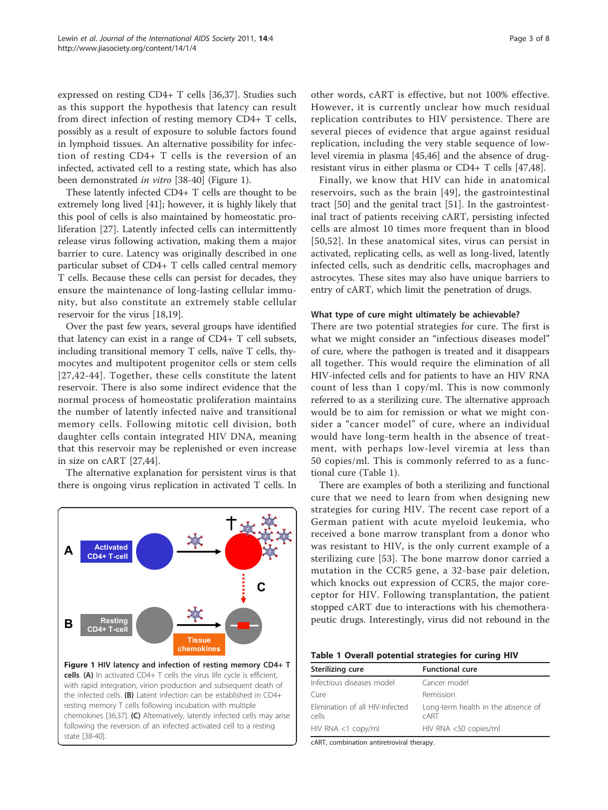expressed on resting CD4+ T cells [[36,37\]](#page-7-0). Studies such as this support the hypothesis that latency can result from direct infection of resting memory CD4+ T cells, possibly as a result of exposure to soluble factors found in lymphoid tissues. An alternative possibility for infection of resting CD4+ T cells is the reversion of an infected, activated cell to a resting state, which has also been demonstrated in vitro [\[38](#page-7-0)-[40\]](#page-7-0) (Figure 1).

These latently infected CD4+ T cells are thought to be extremely long lived [\[41\]](#page-7-0); however, it is highly likely that this pool of cells is also maintained by homeostatic proliferation [[27](#page-6-0)]. Latently infected cells can intermittently release virus following activation, making them a major barrier to cure. Latency was originally described in one particular subset of CD4+ T cells called central memory T cells. Because these cells can persist for decades, they ensure the maintenance of long-lasting cellular immunity, but also constitute an extremely stable cellular reservoir for the virus [[18,19](#page-6-0)].

Over the past few years, several groups have identified that latency can exist in a range of CD4+ T cell subsets, including transitional memory T cells, naïve T cells, thymocytes and multipotent progenitor cells or stem cells [[27,](#page-6-0)[42](#page-7-0)-[44\]](#page-7-0). Together, these cells constitute the latent reservoir. There is also some indirect evidence that the normal process of homeostatic proliferation maintains the number of latently infected naïve and transitional memory cells. Following mitotic cell division, both daughter cells contain integrated HIV DNA, meaning that this reservoir may be replenished or even increase in size on cART [\[27,](#page-6-0)[44\]](#page-7-0).

The alternative explanation for persistent virus is that there is ongoing virus replication in activated T cells. In



other words, cART is effective, but not 100% effective. However, it is currently unclear how much residual replication contributes to HIV persistence. There are several pieces of evidence that argue against residual replication, including the very stable sequence of lowlevel viremia in plasma [[45](#page-7-0),[46](#page-7-0)] and the absence of drugresistant virus in either plasma or CD4+ T cells [[47,48\]](#page-7-0).

Finally, we know that HIV can hide in anatomical reservoirs, such as the brain [\[49\]](#page-7-0), the gastrointestinal tract [[50](#page-7-0)] and the genital tract [\[51](#page-7-0)]. In the gastrointestinal tract of patients receiving cART, persisting infected cells are almost 10 times more frequent than in blood [[50,52](#page-7-0)]. In these anatomical sites, virus can persist in activated, replicating cells, as well as long-lived, latently infected cells, such as dendritic cells, macrophages and astrocytes. These sites may also have unique barriers to entry of cART, which limit the penetration of drugs.

#### What type of cure might ultimately be achievable?

There are two potential strategies for cure. The first is what we might consider an "infectious diseases model" of cure, where the pathogen is treated and it disappears all together. This would require the elimination of all HIV-infected cells and for patients to have an HIV RNA count of less than 1 copy/ml. This is now commonly referred to as a sterilizing cure. The alternative approach would be to aim for remission or what we might consider a "cancer model" of cure, where an individual would have long-term health in the absence of treatment, with perhaps low-level viremia at less than 50 copies/ml. This is commonly referred to as a functional cure (Table 1).

There are examples of both a sterilizing and functional cure that we need to learn from when designing new strategies for curing HIV. The recent case report of a German patient with acute myeloid leukemia, who received a bone marrow transplant from a donor who was resistant to HIV, is the only current example of a sterilizing cure [[53](#page-7-0)]. The bone marrow donor carried a mutation in the CCR5 gene, a 32-base pair deletion, which knocks out expression of CCR5, the major coreceptor for HIV. Following transplantation, the patient stopped cART due to interactions with his chemotherapeutic drugs. Interestingly, virus did not rebound in the

|  |  |  |  | Table 1 Overall potential strategies for curing HIV |  |  |  |
|--|--|--|--|-----------------------------------------------------|--|--|--|
|--|--|--|--|-----------------------------------------------------|--|--|--|

| Sterilizing cure                         | <b>Functional cure</b>                        |
|------------------------------------------|-----------------------------------------------|
| Infectious diseases model                | Cancer model                                  |
| Cure                                     | Remission                                     |
| Elimination of all HIV-infected<br>cells | Long-term health in the absence of<br>$c$ ART |
| $HIV$ RNA <1 copy/ml                     | HIV RNA <50 copies/ml                         |

cART, combination antiretroviral therapy.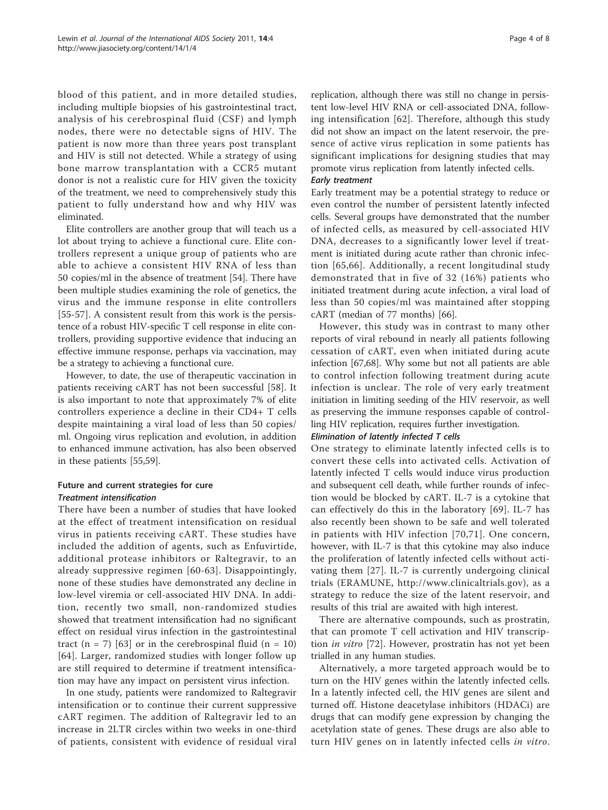blood of this patient, and in more detailed studies, including multiple biopsies of his gastrointestinal tract, analysis of his cerebrospinal fluid (CSF) and lymph nodes, there were no detectable signs of HIV. The patient is now more than three years post transplant and HIV is still not detected. While a strategy of using bone marrow transplantation with a CCR5 mutant donor is not a realistic cure for HIV given the toxicity of the treatment, we need to comprehensively study this patient to fully understand how and why HIV was eliminated.

Elite controllers are another group that will teach us a lot about trying to achieve a functional cure. Elite controllers represent a unique group of patients who are able to achieve a consistent HIV RNA of less than 50 copies/ml in the absence of treatment [[54](#page-7-0)]. There have been multiple studies examining the role of genetics, the virus and the immune response in elite controllers [[55-57](#page-7-0)]. A consistent result from this work is the persistence of a robust HIV-specific T cell response in elite controllers, providing supportive evidence that inducing an effective immune response, perhaps via vaccination, may be a strategy to achieving a functional cure.

However, to date, the use of therapeutic vaccination in patients receiving cART has not been successful [\[58](#page-7-0)]. It is also important to note that approximately 7% of elite controllers experience a decline in their CD4+ T cells despite maintaining a viral load of less than 50 copies/ ml. Ongoing virus replication and evolution, in addition to enhanced immune activation, has also been observed in these patients [\[55,59](#page-7-0)].

#### Future and current strategies for cure Treatment intensification

There have been a number of studies that have looked at the effect of treatment intensification on residual virus in patients receiving cART. These studies have included the addition of agents, such as Enfuvirtide, additional protease inhibitors or Raltegravir, to an already suppressive regimen [\[60-63\]](#page-7-0). Disappointingly, none of these studies have demonstrated any decline in low-level viremia or cell-associated HIV DNA. In addition, recently two small, non-randomized studies showed that treatment intensification had no significant effect on residual virus infection in the gastrointestinal tract  $(n = 7)$  [[63](#page-7-0)] or in the cerebrospinal fluid  $(n = 10)$ [[64](#page-7-0)]. Larger, randomized studies with longer follow up are still required to determine if treatment intensification may have any impact on persistent virus infection.

In one study, patients were randomized to Raltegravir intensification or to continue their current suppressive cART regimen. The addition of Raltegravir led to an increase in 2LTR circles within two weeks in one-third of patients, consistent with evidence of residual viral replication, although there was still no change in persistent low-level HIV RNA or cell-associated DNA, following intensification [[62](#page-7-0)]. Therefore, although this study did not show an impact on the latent reservoir, the presence of active virus replication in some patients has significant implications for designing studies that may promote virus replication from latently infected cells.

#### Early treatment

Early treatment may be a potential strategy to reduce or even control the number of persistent latently infected cells. Several groups have demonstrated that the number of infected cells, as measured by cell-associated HIV DNA, decreases to a significantly lower level if treatment is initiated during acute rather than chronic infection [[65](#page-7-0),[66](#page-8-0)]. Additionally, a recent longitudinal study demonstrated that in five of 32 (16%) patients who initiated treatment during acute infection, a viral load of less than 50 copies/ml was maintained after stopping cART (median of 77 months) [[66](#page-8-0)].

However, this study was in contrast to many other reports of viral rebound in nearly all patients following cessation of cART, even when initiated during acute infection [[67,68](#page-8-0)]. Why some but not all patients are able to control infection following treatment during acute infection is unclear. The role of very early treatment initiation in limiting seeding of the HIV reservoir, as well as preserving the immune responses capable of controlling HIV replication, requires further investigation.

#### Elimination of latently infected T cells

One strategy to eliminate latently infected cells is to convert these cells into activated cells. Activation of latently infected T cells would induce virus production and subsequent cell death, while further rounds of infection would be blocked by cART. IL-7 is a cytokine that can effectively do this in the laboratory [\[69\]](#page-8-0). IL-7 has also recently been shown to be safe and well tolerated in patients with HIV infection [[70,71\]](#page-8-0). One concern, however, with IL-7 is that this cytokine may also induce the proliferation of latently infected cells without activating them [[27](#page-6-0)]. IL-7 is currently undergoing clinical trials (ERAMUNE,<http://www.clinicaltrials.gov>), as a strategy to reduce the size of the latent reservoir, and results of this trial are awaited with high interest.

There are alternative compounds, such as prostratin, that can promote T cell activation and HIV transcription *in vitro* [\[72](#page-8-0)]. However, prostratin has not yet been trialled in any human studies.

Alternatively, a more targeted approach would be to turn on the HIV genes within the latently infected cells. In a latently infected cell, the HIV genes are silent and turned off. Histone deacetylase inhibitors (HDACi) are drugs that can modify gene expression by changing the acetylation state of genes. These drugs are also able to turn HIV genes on in latently infected cells in vitro.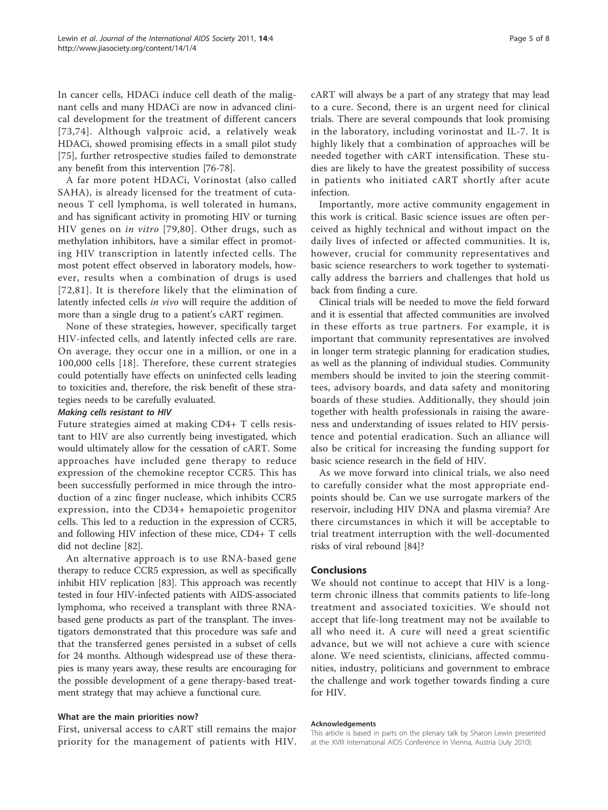In cancer cells, HDACi induce cell death of the malignant cells and many HDACi are now in advanced clinical development for the treatment of different cancers [[73](#page-8-0),[74](#page-8-0)]. Although valproic acid, a relatively weak HDACi, showed promising effects in a small pilot study [[75\]](#page-8-0), further retrospective studies failed to demonstrate any benefit from this intervention [[76-78](#page-8-0)].

A far more potent HDACi, Vorinostat (also called SAHA), is already licensed for the treatment of cutaneous T cell lymphoma, is well tolerated in humans, and has significant activity in promoting HIV or turning HIV genes on in vitro [[79,80](#page-8-0)]. Other drugs, such as methylation inhibitors, have a similar effect in promoting HIV transcription in latently infected cells. The most potent effect observed in laboratory models, however, results when a combination of drugs is used [[72,81](#page-8-0)]. It is therefore likely that the elimination of latently infected cells in vivo will require the addition of more than a single drug to a patient's cART regimen.

None of these strategies, however, specifically target HIV-infected cells, and latently infected cells are rare. On average, they occur one in a million, or one in a 100,000 cells [[18](#page-6-0)]. Therefore, these current strategies could potentially have effects on uninfected cells leading to toxicities and, therefore, the risk benefit of these strategies needs to be carefully evaluated.

#### Making cells resistant to HIV

Future strategies aimed at making CD4+ T cells resistant to HIV are also currently being investigated, which would ultimately allow for the cessation of cART. Some approaches have included gene therapy to reduce expression of the chemokine receptor CCR5. This has been successfully performed in mice through the introduction of a zinc finger nuclease, which inhibits CCR5 expression, into the CD34+ hemapoietic progenitor cells. This led to a reduction in the expression of CCR5, and following HIV infection of these mice, CD4+ T cells did not decline [[82\]](#page-8-0).

An alternative approach is to use RNA-based gene therapy to reduce CCR5 expression, as well as specifically inhibit HIV replication [\[83\]](#page-8-0). This approach was recently tested in four HIV-infected patients with AIDS-associated lymphoma, who received a transplant with three RNAbased gene products as part of the transplant. The investigators demonstrated that this procedure was safe and that the transferred genes persisted in a subset of cells for 24 months. Although widespread use of these therapies is many years away, these results are encouraging for the possible development of a gene therapy-based treatment strategy that may achieve a functional cure.

#### What are the main priorities now?

First, universal access to cART still remains the major priority for the management of patients with HIV. cART will always be a part of any strategy that may lead to a cure. Second, there is an urgent need for clinical trials. There are several compounds that look promising in the laboratory, including vorinostat and IL-7. It is highly likely that a combination of approaches will be needed together with cART intensification. These studies are likely to have the greatest possibility of success in patients who initiated cART shortly after acute infection.

Importantly, more active community engagement in this work is critical. Basic science issues are often perceived as highly technical and without impact on the daily lives of infected or affected communities. It is, however, crucial for community representatives and basic science researchers to work together to systematically address the barriers and challenges that hold us back from finding a cure.

Clinical trials will be needed to move the field forward and it is essential that affected communities are involved in these efforts as true partners. For example, it is important that community representatives are involved in longer term strategic planning for eradication studies, as well as the planning of individual studies. Community members should be invited to join the steering committees, advisory boards, and data safety and monitoring boards of these studies. Additionally, they should join together with health professionals in raising the awareness and understanding of issues related to HIV persistence and potential eradication. Such an alliance will also be critical for increasing the funding support for basic science research in the field of HIV.

As we move forward into clinical trials, we also need to carefully consider what the most appropriate endpoints should be. Can we use surrogate markers of the reservoir, including HIV DNA and plasma viremia? Are there circumstances in which it will be acceptable to trial treatment interruption with the well-documented risks of viral rebound [\[84\]](#page-8-0)?

#### Conclusions

We should not continue to accept that HIV is a longterm chronic illness that commits patients to life-long treatment and associated toxicities. We should not accept that life-long treatment may not be available to all who need it. A cure will need a great scientific advance, but we will not achieve a cure with science alone. We need scientists, clinicians, affected communities, industry, politicians and government to embrace the challenge and work together towards finding a cure for HIV.

#### Acknowledgements

This article is based in parts on the plenary talk by Sharon Lewin presented at the XVIII International AIDS Conference in Vienna, Austria (July 2010).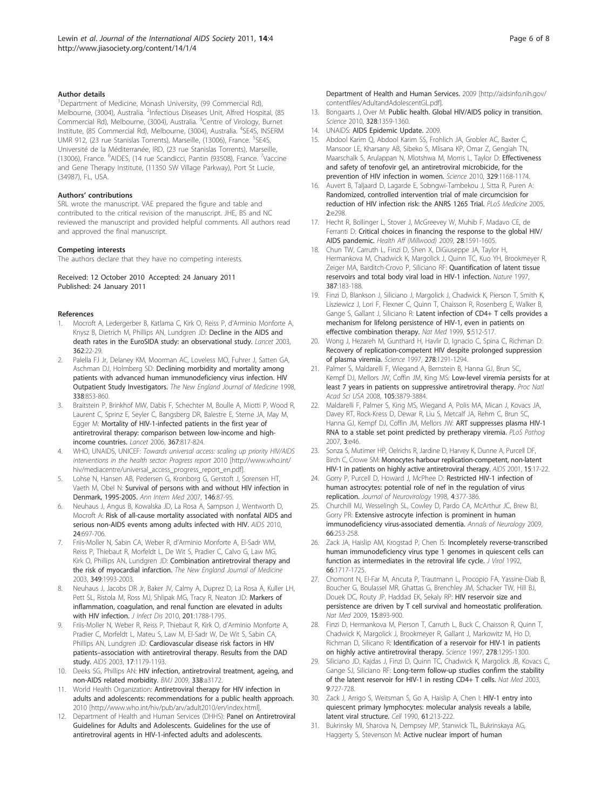#### <span id="page-6-0"></span>Author details

<sup>1</sup>Department of Medicine, Monash University, (99 Commercial Rd), Melbourne, (3004), Australia. <sup>2</sup>Infectious Diseases Unit, Alfred Hospital, (85 Commercial Rd), Melbourne, (3004), Australia. <sup>3</sup>Centre of Virology, Burnet Institute, (85 Commercial Rd), Melbourne, (3004), Australia. <sup>4</sup>SE4S, INSERM UMR 912, (23 rue Stanislas Torrents), Marseille, (13006), France. <sup>5</sup>SE4S, Université de la Méditerranée, IRD, (23 rue Stanislas Torrents), Marseille, (13006), France. <sup>6</sup>AIDES, (14 rue Scandicci, Pantin (93508), France. <sup>7</sup>Vaccine and Gene Therapy Institute, (11350 SW Village Parkway), Port St Lucie, (34987), FL, USA.

#### Authors' contributions

SRL wrote the manuscript. VAE prepared the figure and table and contributed to the critical revision of the manuscript. JHE, BS and NC reviewed the manuscript and provided helpful comments. All authors read and approved the final manuscript.

#### Competing interests

The authors declare that they have no competing interests.

Received: 12 October 2010 Accepted: 24 January 2011 Published: 24 January 2011

#### References

- Mocroft A, Ledergerber B, Katlama C, Kirk O, Reiss P, d'Arminio Monforte A, Knysz B, Dietrich M, Phillips AN, Lundgren JD: [Decline in the AIDS and](http://www.ncbi.nlm.nih.gov/pubmed/12853195?dopt=Abstract) [death rates in the EuroSIDA study: an observational study.](http://www.ncbi.nlm.nih.gov/pubmed/12853195?dopt=Abstract) Lancet 2003, 362:22-29.
- 2. Palella FJ Jr, Delaney KM, Moorman AC, Loveless MO, Fuhrer J, Satten GA, Aschman DJ, Holmberg SD: [Declining morbidity and mortality among](http://www.ncbi.nlm.nih.gov/pubmed/9516219?dopt=Abstract) [patients with advanced human immunodeficiency virus infection. HIV](http://www.ncbi.nlm.nih.gov/pubmed/9516219?dopt=Abstract) [Outpatient Study Investigators.](http://www.ncbi.nlm.nih.gov/pubmed/9516219?dopt=Abstract) The New England Journal of Medicine 1998, 338:853-860.
- 3. Braitstein P, Brinkhof MW, Dabis F, Schechter M, Boulle A, Miotti P, Wood R, Laurent C, Sprinz E, Seyler C, Bangsberg DR, Balestre E, Sterne JA, May M, Egger M: [Mortality of HIV-1-infected patients in the first year of](http://www.ncbi.nlm.nih.gov/pubmed/16530575?dopt=Abstract) [antiretroviral therapy: comparison between low-income and high](http://www.ncbi.nlm.nih.gov/pubmed/16530575?dopt=Abstract)[income countries.](http://www.ncbi.nlm.nih.gov/pubmed/16530575?dopt=Abstract) Lancet 2006, 367:817-824.
- WHO, UNAIDS, UNICEF: Towards universal access: scaling up priority HIV/AIDS interventions in the health sector: Progress report 2010 [\[http://www.who.int/](http://www.who.int/hiv/mediacentre/universal_access_progress_report_en.pdf) [hiv/mediacentre/universal\\_access\\_progress\\_report\\_en.pdf\]](http://www.who.int/hiv/mediacentre/universal_access_progress_report_en.pdf).
- 5. Lohse N, Hansen AB, Pedersen G, Kronborg G, Gerstoft J, Sorensen HT, Vaeth M, Obel N: [Survival of persons with and without HIV infection in](http://www.ncbi.nlm.nih.gov/pubmed/17227932?dopt=Abstract) [Denmark, 1995-2005.](http://www.ncbi.nlm.nih.gov/pubmed/17227932?dopt=Abstract) Ann Intern Med 2007, 146:87-95.
- 6. Neuhaus J, Angus B, Kowalska JD, La Rosa A, Sampson J, Wentworth D, Mocroft A: [Risk of all-cause mortality associated with nonfatal AIDS and](http://www.ncbi.nlm.nih.gov/pubmed/20177360?dopt=Abstract) [serious non-AIDS events among adults infected with HIV.](http://www.ncbi.nlm.nih.gov/pubmed/20177360?dopt=Abstract) AIDS 2010, 24:697-706.
- 7. Friis-Moller N, Sabin CA, Weber R, d'Arminio Monforte A, El-Sadr WM, Reiss P, Thiebaut R, Morfeldt L, De Wit S, Pradier C, Calvo G, Law MG, Kirk O, Phillips AN, Lundgren JD: [Combination antiretroviral therapy and](http://www.ncbi.nlm.nih.gov/pubmed/14627784?dopt=Abstract) [the risk of myocardial infarction.](http://www.ncbi.nlm.nih.gov/pubmed/14627784?dopt=Abstract) The New England Journal of Medicine 2003, 349:1993-2003.
- 8. Neuhaus J, Jacobs DR Jr, Baker JV, Calmy A, Duprez D, La Rosa A, Kuller LH, Pett SL, Ristola M, Ross MJ, Shlipak MG, Tracy R, Neaton JD: [Markers of](http://www.ncbi.nlm.nih.gov/pubmed/20446848?dopt=Abstract) [inflammation, coagulation, and renal function are elevated in adults](http://www.ncbi.nlm.nih.gov/pubmed/20446848?dopt=Abstract) [with HIV infection.](http://www.ncbi.nlm.nih.gov/pubmed/20446848?dopt=Abstract) *J Infect Dis* 2010, 201:1788-1795.
- 9. Friis-Moller N, Weber R, Reiss P, Thiebaut R, Kirk O, d'Arminio Monforte A, Pradier C, Morfeldt L, Mateu S, Law M, El-Sadr W, De Wit S, Sabin CA, Phillips AN, Lundgren JD: [Cardiovascular disease risk factors in HIV](http://www.ncbi.nlm.nih.gov/pubmed/12819520?dopt=Abstract) patients–[association with antiretroviral therapy. Results from the DAD](http://www.ncbi.nlm.nih.gov/pubmed/12819520?dopt=Abstract) [study.](http://www.ncbi.nlm.nih.gov/pubmed/12819520?dopt=Abstract) AIDS 2003, 17:1179-1193.
- 10. Deeks SG, Phillips AN: [HIV infection, antiretroviral treatment, ageing, and](http://www.ncbi.nlm.nih.gov/pubmed/19171560?dopt=Abstract) [non-AIDS related morbidity.](http://www.ncbi.nlm.nih.gov/pubmed/19171560?dopt=Abstract) BMJ 2009, 338:a3172.
- 11. World Health Organization: Antiretroviral therapy for HIV infection in adults and adolescents: recommendations for a public health approach. 2010 [\[http://www.who.int/hiv/pub/arv/adult2010/en/index.html\]](http://www.who.int/hiv/pub/arv/adult2010/en/index.html).
- 12. Department of Health and Human Services (DHHS): Panel on Antiretroviral Guidelines for Adults and Adolescents. Guidelines for the use of antiretroviral agents in HIV-1-infected adults and adolescents.

Department of Health and Human Services. 2009 [[http://aidsinfo.nih.gov/](http://aidsinfo.nih.gov/contentfiles/AdultandAdolescentGL.pdf) [contentfiles/AdultandAdolescentGL.pdf\]](http://aidsinfo.nih.gov/contentfiles/AdultandAdolescentGL.pdf).

- 13. Bongaarts J, Over M: [Public health. Global HIV/AIDS policy in transition.](http://www.ncbi.nlm.nih.gov/pubmed/20538936?dopt=Abstract) Science 2010, 328:1359-1360.
- 14. UNAIDS: AIDS Epidemic Update. 2009.
- 15. Abdool Karim Q, Abdool Karim SS, Frohlich JA, Grobler AC, Baxter C, Mansoor LE, Kharsany AB, Sibeko S, Mlisana KP, Omar Z, Gengiah TN, Maarschalk S, Arulappan N, Mlotshwa M, Morris L, Taylor D: [Effectiveness](http://www.ncbi.nlm.nih.gov/pubmed/20643915?dopt=Abstract) [and safety of tenofovir gel, an antiretroviral microbicide, for the](http://www.ncbi.nlm.nih.gov/pubmed/20643915?dopt=Abstract) [prevention of HIV infection in women.](http://www.ncbi.nlm.nih.gov/pubmed/20643915?dopt=Abstract) Science 2010, 329:1168-1174.
- 16. Auvert B, Taljaard D, Lagarde E, Sobngwi-Tambekou J, Sitta R, Puren A: [Randomized, controlled intervention trial of male circumcision for](http://www.ncbi.nlm.nih.gov/pubmed/16231970?dopt=Abstract) [reduction of HIV infection risk: the ANRS 1265 Trial.](http://www.ncbi.nlm.nih.gov/pubmed/16231970?dopt=Abstract) PLoS Medicine 2005, 2:e298.
- 17. Hecht R, Bollinger L, Stover J, McGreevey W, Muhib F, Madavo CE, de Ferranti D: [Critical choices in financing the response to the global HIV/](http://www.ncbi.nlm.nih.gov/pubmed/19887401?dopt=Abstract) [AIDS pandemic.](http://www.ncbi.nlm.nih.gov/pubmed/19887401?dopt=Abstract) Health Aff (Millwood) 2009, 28:1591-1605.
- 18. Chun TW, Carruth L, Finzi D, Shen X, DiGiuseppe JA, Taylor H, Hermankova M, Chadwick K, Margolick J, Quinn TC, Kuo YH, Brookmeyer R, Zeiger MA, Barditch-Crovo P, Siliciano RF: [Quantification of latent tissue](http://www.ncbi.nlm.nih.gov/pubmed/9144289?dopt=Abstract) [reservoirs and total body viral load in HIV-1 infection.](http://www.ncbi.nlm.nih.gov/pubmed/9144289?dopt=Abstract) Nature 1997, 387:183-188.
- 19. Finzi D, Blankson J, Siliciano J, Margolick J, Chadwick K, Pierson T, Smith K, Lisziewicz J, Lori F, Flexner C, Quinn T, Chaisson R, Rosenberg E, Walker B, Gange S, Gallant J, Siliciano R: [Latent infection of CD4+ T cells provides a](http://www.ncbi.nlm.nih.gov/pubmed/10229227?dopt=Abstract) [mechanism for lifelong persistence of HIV-1, even in patients on](http://www.ncbi.nlm.nih.gov/pubmed/10229227?dopt=Abstract) [effective combination therapy.](http://www.ncbi.nlm.nih.gov/pubmed/10229227?dopt=Abstract) Nat Med 1999, 5:512-517.
- 20. Wong J, Hezareh M, Gunthard H, Havlir D, Ignacio C, Spina C, Richman D: [Recovery of replication-competent HIV despite prolonged suppression](http://www.ncbi.nlm.nih.gov/pubmed/9360926?dopt=Abstract) [of plasma viremia.](http://www.ncbi.nlm.nih.gov/pubmed/9360926?dopt=Abstract) Science 1997, 278:1291-1294.
- 21. Palmer S, Maldarelli F, Wiegand A, Bernstein B, Hanna GJ, Brun SC, Kempf DJ, Mellors JW, Coffin JM, King MS: [Low-level viremia persists for at](http://www.ncbi.nlm.nih.gov/pubmed/18332425?dopt=Abstract) [least 7 years in patients on suppressive antiretroviral therapy.](http://www.ncbi.nlm.nih.gov/pubmed/18332425?dopt=Abstract) Proc Natl Acad Sci USA 2008, 105:3879-3884.
- 22. Maldarelli F, Palmer S, King MS, Wiegand A, Polis MA, Mican J, Kovacs JA, Davey RT, Rock-Kress D, Dewar R, Liu S, Metcalf JA, Rehm C, Brun SC, Hanna GJ, Kempf DJ, Coffin JM, Mellors JW: [ART suppresses plasma HIV-1](http://www.ncbi.nlm.nih.gov/pubmed/17411338?dopt=Abstract) [RNA to a stable set point predicted by pretherapy viremia.](http://www.ncbi.nlm.nih.gov/pubmed/17411338?dopt=Abstract) PLoS Pathog 2007, 3:e46.
- 23. Sonza S, Mutimer HP, Oelrichs R, Jardine D, Harvey K, Dunne A, Purcell DF, Birch C, Crowe SM: [Monocytes harbour replication-competent, non-latent](http://www.ncbi.nlm.nih.gov/pubmed/11192864?dopt=Abstract) [HIV-1 in patients on highly active antiretroviral therapy.](http://www.ncbi.nlm.nih.gov/pubmed/11192864?dopt=Abstract) AIDS 2001, 15:17-22.
- 24. Gorry P, Purcell D, Howard J, McPhee D: [Restricted HIV-1 infection of](http://www.ncbi.nlm.nih.gov/pubmed/9718129?dopt=Abstract) [human astrocytes: potential role of nef in the regulation of virus](http://www.ncbi.nlm.nih.gov/pubmed/9718129?dopt=Abstract) [replication.](http://www.ncbi.nlm.nih.gov/pubmed/9718129?dopt=Abstract) Journal of Neurovirology 1998, 4:377-386.
- 25. Churchill MJ, Wesselingh SL, Cowley D, Pardo CA, McArthur JC, Brew BJ, Gorry PR: [Extensive astrocyte infection is prominent in human](http://www.ncbi.nlm.nih.gov/pubmed/19743454?dopt=Abstract) [immunodeficiency virus-associated dementia.](http://www.ncbi.nlm.nih.gov/pubmed/19743454?dopt=Abstract) Annals of Neurology 2009, 66:253-258.
- 26. Zack JA, Haislip AM, Krogstad P, Chen IS: [Incompletely reverse-transcribed](http://www.ncbi.nlm.nih.gov/pubmed/1371173?dopt=Abstract) [human immunodeficiency virus type 1 genomes in quiescent cells can](http://www.ncbi.nlm.nih.gov/pubmed/1371173?dopt=Abstract) [function as intermediates in the retroviral life cycle.](http://www.ncbi.nlm.nih.gov/pubmed/1371173?dopt=Abstract) J Virol 1992, 66:1717-1725.
- 27. Chomont N, El-Far M, Ancuta P, Trautmann L, Procopio FA, Yassine-Diab B, Boucher G, Boulassel MR, Ghattas G, Brenchley JM, Schacker TW, Hill BJ, Douek DC, Routy JP, Haddad EK, Sekaly RP: [HIV reservoir size and](http://www.ncbi.nlm.nih.gov/pubmed/19543283?dopt=Abstract) [persistence are driven by T cell survival and homeostatic proliferation.](http://www.ncbi.nlm.nih.gov/pubmed/19543283?dopt=Abstract) Nat Med 2009, 15:893-900.
- 28. Finzi D, Hermankova M, Pierson T, Carruth L, Buck C, Chaisson R, Quinn T, Chadwick K, Margolick J, Brookmeyer R, Gallant J, Markowitz M, Ho D, Richman D, Silicano R: [Identification of a reservoir for HIV-1 in patients](http://www.ncbi.nlm.nih.gov/pubmed/9360927?dopt=Abstract) [on highly active antiretroviral therapy.](http://www.ncbi.nlm.nih.gov/pubmed/9360927?dopt=Abstract) Science 1997, 278:1295-1300.
- 29. Siliciano JD, Kajdas J, Finzi D, Quinn TC, Chadwick K, Margolick JB, Kovacs C, Gange SJ, Siliciano RF: [Long-term follow-up studies confirm the stability](http://www.ncbi.nlm.nih.gov/pubmed/12754504?dopt=Abstract) [of the latent reservoir for HIV-1 in resting CD4+ T cells.](http://www.ncbi.nlm.nih.gov/pubmed/12754504?dopt=Abstract) Nat Med 2003, 9:727-728.
- 30. Zack J, Arrigo S, Weitsman S, Go A, Haislip A, Chen I: [HIV-1 entry into](http://www.ncbi.nlm.nih.gov/pubmed/2331748?dopt=Abstract) [quiescent primary lymphocytes: molecular analysis reveals a labile,](http://www.ncbi.nlm.nih.gov/pubmed/2331748?dopt=Abstract) [latent viral structure.](http://www.ncbi.nlm.nih.gov/pubmed/2331748?dopt=Abstract) Cell 1990, 61:213-222.
- 31. Bukrinsky MI, Sharova N, Dempsey MP, Stanwick TL, Bukrinskaya AG, Haggerty S, Stevenson M: [Active nuclear import of human](http://www.ncbi.nlm.nih.gov/pubmed/1631159?dopt=Abstract)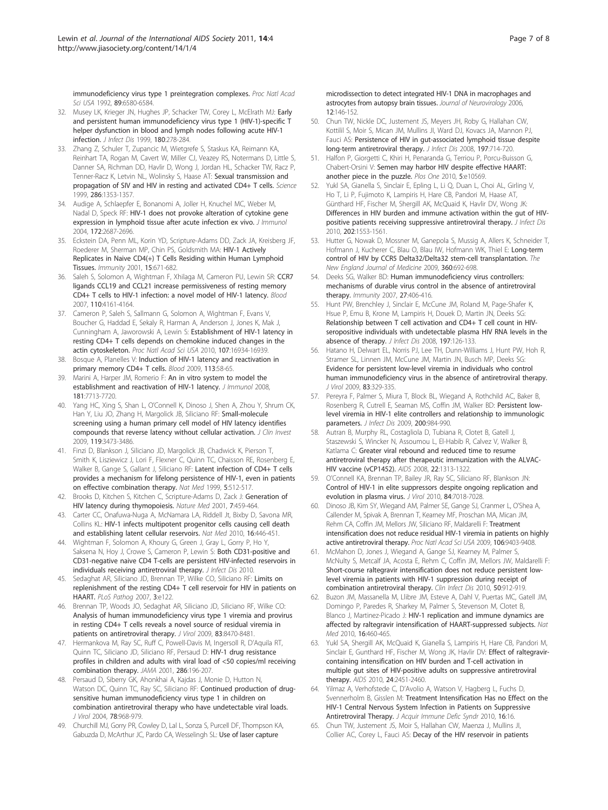<span id="page-7-0"></span>[immunodeficiency virus type 1 preintegration complexes.](http://www.ncbi.nlm.nih.gov/pubmed/1631159?dopt=Abstract) Proc Natl Acad Sci USA 1992, 89:6580-6584.

- 32. Musey LK, Krieger JN, Hughes JP, Schacker TW, Corey L, McElrath MJ: [Early](http://www.ncbi.nlm.nih.gov/pubmed/10395840?dopt=Abstract) [and persistent human immunodeficiency virus type 1 \(HIV-1\)-specific T](http://www.ncbi.nlm.nih.gov/pubmed/10395840?dopt=Abstract) [helper dysfunction in blood and lymph nodes following acute HIV-1](http://www.ncbi.nlm.nih.gov/pubmed/10395840?dopt=Abstract) [infection.](http://www.ncbi.nlm.nih.gov/pubmed/10395840?dopt=Abstract) J Infect Dis 1999, 180:278-284.
- 33. Zhang Z, Schuler T, Zupancic M, Wietgrefe S, Staskus KA, Reimann KA, Reinhart TA, Rogan M, Cavert W, Miller CJ, Veazey RS, Notermans D, Little S, Danner SA, Richman DD, Havlir D, Wong J, Jordan HL, Schacker TW, Racz P, Tenner-Racz K, Letvin NL, Wolinsky S, Haase AT: [Sexual transmission and](http://www.ncbi.nlm.nih.gov/pubmed/10558989?dopt=Abstract) [propagation of SIV and HIV in resting and activated CD4+ T cells.](http://www.ncbi.nlm.nih.gov/pubmed/10558989?dopt=Abstract) Science 1999, 286:1353-1357.
- 34. Audige A, Schlaepfer E, Bonanomi A, Joller H, Knuchel MC, Weber M, Nadal D, Speck RF: [HIV-1 does not provoke alteration of cytokine gene](http://www.ncbi.nlm.nih.gov/pubmed/14764744?dopt=Abstract) [expression in lymphoid tissue after acute infection ex vivo.](http://www.ncbi.nlm.nih.gov/pubmed/14764744?dopt=Abstract) *J Immunol* 2004, 172:2687-2696.
- 35. Eckstein DA, Penn ML, Korin YD, Scripture-Adams DD, Zack JA, Kreisberg JF, Roederer M, Sherman MP, Chin PS, Goldsmith MA: [HIV-1 Actively](http://www.ncbi.nlm.nih.gov/pubmed/11672548?dopt=Abstract) [Replicates in Naive CD4\(+\) T Cells Residing within Human Lymphoid](http://www.ncbi.nlm.nih.gov/pubmed/11672548?dopt=Abstract) [Tissues.](http://www.ncbi.nlm.nih.gov/pubmed/11672548?dopt=Abstract) Immunity 2001, 15:671-682.
- 36. Saleh S, Solomon A, Wightman F, Xhilaga M, Cameron PU, Lewin SR: [CCR7](http://www.ncbi.nlm.nih.gov/pubmed/17881634?dopt=Abstract) [ligands CCL19 and CCL21 increase permissiveness of resting memory](http://www.ncbi.nlm.nih.gov/pubmed/17881634?dopt=Abstract) [CD4+ T cells to HIV-1 infection: a novel model of HIV-1 latency.](http://www.ncbi.nlm.nih.gov/pubmed/17881634?dopt=Abstract) Blood 2007, 110:4161-4164.
- 37. Cameron P, Saleh S, Sallmann G, Solomon A, Wightman F, Evans V, Boucher G, Haddad E, Sekaly R, Harman A, Anderson J, Jones K, Mak J, Cunningham A, Jaworowski A, Lewin S: [Establishment of HIV-1 latency in](http://www.ncbi.nlm.nih.gov/pubmed/20837531?dopt=Abstract) [resting CD4+ T cells depends on chemokine induced changes in the](http://www.ncbi.nlm.nih.gov/pubmed/20837531?dopt=Abstract) [actin cytoskeleton.](http://www.ncbi.nlm.nih.gov/pubmed/20837531?dopt=Abstract) Proc Natl Acad Sci USA 2010, 107:16934-16939.
- Bosque A, Planelles V: [Induction of HIV-1 latency and reactivation in](http://www.ncbi.nlm.nih.gov/pubmed/18849485?dopt=Abstract) [primary memory CD4+ T cells.](http://www.ncbi.nlm.nih.gov/pubmed/18849485?dopt=Abstract) Blood 2009, 113:58-65.
- 39. Marini A, Harper JM, Romerio F: [An in vitro system to model the](http://www.ncbi.nlm.nih.gov/pubmed/19017960?dopt=Abstract) [establishment and reactivation of HIV-1 latency.](http://www.ncbi.nlm.nih.gov/pubmed/19017960?dopt=Abstract) *J Immunol* 2008, 181:7713-7720.
- 40. Yang HC, Xing S, Shan L, O'Connell K, Dinoso J, Shen A, Zhou Y, Shrum CK, Han Y, Liu JO, Zhang H, Margolick JB, Siliciano RF: [Small-molecule](http://www.ncbi.nlm.nih.gov/pubmed/19805909?dopt=Abstract) [screening using a human primary cell model of HIV latency identifies](http://www.ncbi.nlm.nih.gov/pubmed/19805909?dopt=Abstract) [compounds that reverse latency without cellular activation.](http://www.ncbi.nlm.nih.gov/pubmed/19805909?dopt=Abstract) J Clin Invest 2009, 119:3473-3486.
- 41. Finzi D, Blankson J, Siliciano JD, Margolick JB, Chadwick K, Pierson T, Smith K, Lisziewicz J, Lori F, Flexner C, Quinn TC, Chaisson RE, Rosenberg E, Walker B, Gange S, Gallant J, Siliciano RF: [Latent infection of CD4+ T cells](http://www.ncbi.nlm.nih.gov/pubmed/10229227?dopt=Abstract) [provides a mechanism for lifelong persistence of HIV-1, even in patients](http://www.ncbi.nlm.nih.gov/pubmed/10229227?dopt=Abstract) [on effective combination therapy.](http://www.ncbi.nlm.nih.gov/pubmed/10229227?dopt=Abstract) Nat Med 1999, 5:512-517.
- 42. Brooks D, Kitchen S, Kitchen C, Scripture-Adams D, Zack J: [Generation of](http://www.ncbi.nlm.nih.gov/pubmed/11283673?dopt=Abstract) [HIV latency during thymopoiesis.](http://www.ncbi.nlm.nih.gov/pubmed/11283673?dopt=Abstract) Nature Med 2001, 7:459-464.
- 43. Carter CC, Onafuwa-Nuga A, McNamara LA, Riddell Jt, Bixby D, Savona MR, Collins KL: [HIV-1 infects multipotent progenitor cells causing cell death](http://www.ncbi.nlm.nih.gov/pubmed/20208541?dopt=Abstract) [and establishing latent cellular reservoirs.](http://www.ncbi.nlm.nih.gov/pubmed/20208541?dopt=Abstract) Nat Med 2010, 16:446-451.
- 44. Wightman F, Solomon A, Khoury G, Green J, Gray L, Gorry P, Ho Y, Saksena N, Hoy J, Crowe S, Cameron P, Lewin S: [Both CD31-positive and](http://www.ncbi.nlm.nih.gov/pubmed/20979453?dopt=Abstract) [CD31-negative naive CD4 T-cells are persistent HIV-infected reservoirs in](http://www.ncbi.nlm.nih.gov/pubmed/20979453?dopt=Abstract) [individuals receiving antiretroviral therapy.](http://www.ncbi.nlm.nih.gov/pubmed/20979453?dopt=Abstract) J Infect Dis 2010.
- 45. Sedaghat AR, Siliciano JD, Brennan TP, Wilke CO, Siliciano RF: [Limits on](http://www.ncbi.nlm.nih.gov/pubmed/17784786?dopt=Abstract) [replenishment of the resting CD4+ T cell reservoir for HIV in patients on](http://www.ncbi.nlm.nih.gov/pubmed/17784786?dopt=Abstract) [HAART.](http://www.ncbi.nlm.nih.gov/pubmed/17784786?dopt=Abstract) PLoS Pathog 2007, 3:e122.
- 46. Brennan TP, Woods JO, Sedaghat AR, Siliciano JD, Siliciano RF, Wilke CO: [Analysis of human immunodeficiency virus type 1 viremia and provirus](http://www.ncbi.nlm.nih.gov/pubmed/19535437?dopt=Abstract) [in resting CD4+ T cells reveals a novel source of residual viremia in](http://www.ncbi.nlm.nih.gov/pubmed/19535437?dopt=Abstract) [patients on antiretroviral therapy.](http://www.ncbi.nlm.nih.gov/pubmed/19535437?dopt=Abstract) J Virol 2009, 83:8470-8481
- 47. Hermankova M, Ray SC, Ruff C, Powell-Davis M, Ingersoll R, D'Aquila RT, Quinn TC, Siliciano JD, Siliciano RF, Persaud D: [HIV-1 drug resistance](http://www.ncbi.nlm.nih.gov/pubmed/11448283?dopt=Abstract) [profiles in children and adults with viral load of <50 copies/ml receiving](http://www.ncbi.nlm.nih.gov/pubmed/11448283?dopt=Abstract) [combination therapy.](http://www.ncbi.nlm.nih.gov/pubmed/11448283?dopt=Abstract) JAMA 2001, 286:196-207.
- 48. Persaud D, Siberry GK, Ahonkhai A, Kajdas J, Monie D, Hutton N, Watson DC, Quinn TC, Ray SC, Siliciano RF: [Continued production of drug](http://www.ncbi.nlm.nih.gov/pubmed/14694128?dopt=Abstract)[sensitive human immunodeficiency virus type 1 in children on](http://www.ncbi.nlm.nih.gov/pubmed/14694128?dopt=Abstract) [combination antiretroviral therapy who have undetectable viral loads.](http://www.ncbi.nlm.nih.gov/pubmed/14694128?dopt=Abstract) J Virol 2004, 78:968-979.
- 49. Churchill MJ, Gorry PR, Cowley D, Lal L, Sonza S, Purcell DF, Thompson KA, Gabuzda D, McArthur JC, Pardo CA, Wesselingh SL: [Use of laser capture](http://www.ncbi.nlm.nih.gov/pubmed/16798676?dopt=Abstract)

[microdissection to detect integrated HIV-1 DNA in macrophages and](http://www.ncbi.nlm.nih.gov/pubmed/16798676?dopt=Abstract) [astrocytes from autopsy brain tissues.](http://www.ncbi.nlm.nih.gov/pubmed/16798676?dopt=Abstract) Journal of Neurovirology 2006, 12:146-152.

- 50. Chun TW, Nickle DC, Justement JS, Meyers JH, Roby G, Hallahan CW, Kottilil S, Moir S, Mican JM, Mullins JI, Ward DJ, Kovacs JA, Mannon PJ, Fauci AS: [Persistence of HIV in gut-associated lymphoid tissue despite](http://www.ncbi.nlm.nih.gov/pubmed/18260759?dopt=Abstract) [long-term antiretroviral therapy.](http://www.ncbi.nlm.nih.gov/pubmed/18260759?dopt=Abstract) J Infect Dis 2008, 197:714-720.
- 51. Halfon P, Giorgetti C, Khiri H, Penaranda G, Terriou P, Porcu-Buisson G, Chabert-Orsini V: [Semen may harbor HIV despite effective HAART:](http://www.ncbi.nlm.nih.gov/pubmed/20485526?dopt=Abstract) [another piece in the puzzle.](http://www.ncbi.nlm.nih.gov/pubmed/20485526?dopt=Abstract) Plos One 2010, 5:e10569.
- 52. Yukl SA, Gianella S, Sinclair E, Epling L, Li Q, Duan L, Choi AL, Girling V, Ho T, Li P, Fujimoto K, Lampiris H, Hare CB, Pandori M, Haase AT, Günthard HF, Fischer M, Shergill AK, McQuaid K, Havlir DV, Wong JK: [Differences in HIV burden and immune activation within the gut of HIV](http://www.ncbi.nlm.nih.gov/pubmed/20939732?dopt=Abstract)[positive patients receiving suppressive antiretroviral therapy.](http://www.ncbi.nlm.nih.gov/pubmed/20939732?dopt=Abstract) J Infect Dis 2010, 202:1553-1561.
- 53. Hutter G, Nowak D, Mossner M, Ganepola S, Mussig A, Allers K, Schneider T, Hofmann J, Kucherer C, Blau O, Blau IW, Hofmann WK, Thiel E: [Long-term](http://www.ncbi.nlm.nih.gov/pubmed/19213682?dopt=Abstract) [control of HIV by CCR5 Delta32/Delta32 stem-cell transplantation.](http://www.ncbi.nlm.nih.gov/pubmed/19213682?dopt=Abstract) The New England Journal of Medicine 2009, 360:692-698.
- 54. Deeks SG, Walker BD: [Human immunodeficiency virus controllers:](http://www.ncbi.nlm.nih.gov/pubmed/17892849?dopt=Abstract) [mechanisms of durable virus control in the absence of antiretroviral](http://www.ncbi.nlm.nih.gov/pubmed/17892849?dopt=Abstract) [therapy.](http://www.ncbi.nlm.nih.gov/pubmed/17892849?dopt=Abstract) Immunity 2007, 27:406-416.
- 55. Hunt PW, Brenchley J, Sinclair E, McCune JM, Roland M, Page-Shafer K, Hsue P, Emu B, Krone M, Lampiris H, Douek D, Martin JN, Deeks SG: [Relationship between T cell activation and CD4+ T cell count in HIV](http://www.ncbi.nlm.nih.gov/pubmed/18171295?dopt=Abstract)[seropositive individuals with undetectable plasma HIV RNA levels in the](http://www.ncbi.nlm.nih.gov/pubmed/18171295?dopt=Abstract) [absence of therapy.](http://www.ncbi.nlm.nih.gov/pubmed/18171295?dopt=Abstract) J Infect Dis 2008, 197:126-133.
- 56. Hatano H, Delwart EL, Norris PJ, Lee TH, Dunn-Williams J, Hunt PW, Hoh R, Stramer SL, Linnen JM, McCune JM, Martin JN, Busch MP, Deeks SG: [Evidence for persistent low-level viremia in individuals who control](http://www.ncbi.nlm.nih.gov/pubmed/18945778?dopt=Abstract) [human immunodeficiency virus in the absence of antiretroviral therapy.](http://www.ncbi.nlm.nih.gov/pubmed/18945778?dopt=Abstract) J Virol 2009, 83:329-335.
- 57. Pereyra F, Palmer S, Miura T, Block BL, Wiegand A, Rothchild AC, Baker B, Rosenberg R, Cutrell E, Seaman MS, Coffin JM, Walker BD: [Persistent low](http://www.ncbi.nlm.nih.gov/pubmed/19656066?dopt=Abstract)[level viremia in HIV-1 elite controllers and relationship to immunologic](http://www.ncbi.nlm.nih.gov/pubmed/19656066?dopt=Abstract) [parameters.](http://www.ncbi.nlm.nih.gov/pubmed/19656066?dopt=Abstract) J Infect Dis 2009, 200:984-990.
- 58. Autran B, Murphy RL, Costagliola D, Tubiana R, Clotet B, Gatell J, Staszewski S, Wincker N, Assoumou L, El-Habib R, Calvez V, Walker B, Katlama C: [Greater viral rebound and reduced time to resume](http://www.ncbi.nlm.nih.gov/pubmed/18580611?dopt=Abstract) [antiretroviral therapy after therapeutic immunization with the ALVAC-](http://www.ncbi.nlm.nih.gov/pubmed/18580611?dopt=Abstract)[HIV vaccine \(vCP1452\).](http://www.ncbi.nlm.nih.gov/pubmed/18580611?dopt=Abstract) AIDS 2008, 22:1313-1322.
- 59. O'Connell KA, Brennan TP, Bailey JR, Ray SC, Siliciano RF, Blankson JN: [Control of HIV-1 in elite suppressors despite ongoing replication and](http://www.ncbi.nlm.nih.gov/pubmed/20444904?dopt=Abstract) [evolution in plasma virus.](http://www.ncbi.nlm.nih.gov/pubmed/20444904?dopt=Abstract) J Virol 2010, 84:7018-7028.
- 60. Dinoso JB, Kim SY, Wiegand AM, Palmer SE, Gange SJ, Cranmer L, O'Shea A, Callender M, Spivak A, Brennan T, Kearney MF, Proschan MA, Mican JM, Rehm CA, Coffin JM, Mellors JW, Siliciano RF, Maldarelli F: [Treatment](http://www.ncbi.nlm.nih.gov/pubmed/19470482?dopt=Abstract) [intensification does not reduce residual HIV-1 viremia in patients on highly](http://www.ncbi.nlm.nih.gov/pubmed/19470482?dopt=Abstract) [active antiretroviral therapy.](http://www.ncbi.nlm.nih.gov/pubmed/19470482?dopt=Abstract) Proc Natl Acad Sci USA 2009, 106:9403-9408.
- 61. McMahon D, Jones J, Wiegand A, Gange SJ, Kearney M, Palmer S, McNulty S, Metcalf JA, Acosta E, Rehm C, Coffin JM, Mellors JW, Maldarelli F: [Short-course raltegravir intensification does not reduce persistent low](http://www.ncbi.nlm.nih.gov/pubmed/20156060?dopt=Abstract)[level viremia in patients with HIV-1 suppression during receipt of](http://www.ncbi.nlm.nih.gov/pubmed/20156060?dopt=Abstract) [combination antiretroviral therapy.](http://www.ncbi.nlm.nih.gov/pubmed/20156060?dopt=Abstract) Clin Infect Dis 2010, 50:912-919.
- 62. Buzon JM, Massanella M, Llibre JM, Esteve A, Dahl V, Puertas MC, Gatell JM, Domingo P, Paredes R, Sharkey M, Palmer S, Stevenson M, Clotet B, Blanco J, Martinez-Picado J: [HIV-1 replication and immune dynamics are](http://www.ncbi.nlm.nih.gov/pubmed/20228817?dopt=Abstract) [affected by raltegravir intensification of HAART-suppressed subjects.](http://www.ncbi.nlm.nih.gov/pubmed/20228817?dopt=Abstract) Nat Med 2010, 16:460-465.
- 63. Yukl SA, Shergill AK, McQuaid K, Gianella S, Lampiris H, Hare CB, Pandori M, Sinclair E, Gunthard HF, Fischer M, Wong JK, Havlir DV: [Effect of raltegravir](http://www.ncbi.nlm.nih.gov/pubmed/20827162?dopt=Abstract)[containing intensification on HIV burden and T-cell activation in](http://www.ncbi.nlm.nih.gov/pubmed/20827162?dopt=Abstract) [multiple gut sites of HIV-positive adults on suppressive antiretroviral](http://www.ncbi.nlm.nih.gov/pubmed/20827162?dopt=Abstract) [therapy.](http://www.ncbi.nlm.nih.gov/pubmed/20827162?dopt=Abstract) AIDS 2010, 24:2451-2460.
- 64. Yilmaz A, Verhofstede C, D'Avolio A, Watson V, Hagberg L, Fuchs D, Svennerholm B, Gisslen M: Treatment Intensification Has no Effect on the HIV-1 Central Nervous System Infection in Patients on Suppressive Antiretroviral Therapy. J Acquir Immune Defic Syndr 2010, 16:16.
- 65. Chun TW, Justement JS, Moir S, Hallahan CW, Maenza J, Mullins JI, Collier AC, Corey L, Fauci AS: [Decay of the HIV reservoir in patients](http://www.ncbi.nlm.nih.gov/pubmed/17492591?dopt=Abstract)